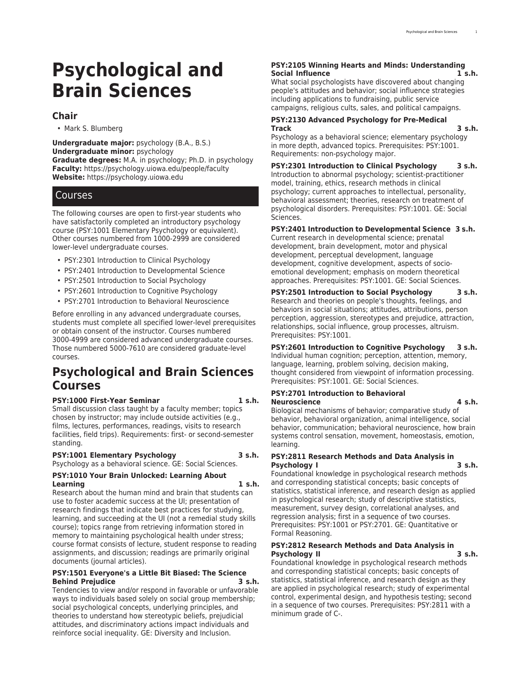# **Psychological and Brain Sciences**

#### **Chair**

• Mark S. Blumberg

**Undergraduate major:** psychology (B.A., B.S.) **Undergraduate minor:** psychology **Graduate degrees:** M.A. in psychology; Ph.D. in psychology **Faculty:** [https://psychology.uiowa.edu/people/faculty](https://psychology.uiowa.edu/people/faculty/) **Website:** <https://psychology.uiowa.edu>

## Courses

The following courses are open to first-year students who have satisfactorily completed an introductory psychology course (PSY:1001 Elementary Psychology or equivalent). Other courses numbered from 1000-2999 are considered lower-level undergraduate courses.

- PSY:2301 Introduction to Clinical Psychology
- PSY:2401 Introduction to Developmental Science
- PSY:2501 Introduction to Social Psychology
- PSY:2601 Introduction to Cognitive Psychology
- PSY:2701 Introduction to Behavioral Neuroscience

Before enrolling in any advanced undergraduate courses, students must complete all specified lower-level prerequisites or obtain consent of the instructor. Courses numbered 3000-4999 are considered advanced undergraduate courses. Those numbered 5000-7610 are considered graduate-level courses.

## **Psychological and Brain Sciences Courses**

#### **PSY:1000 First-Year Seminar 1 s.h.**

Small discussion class taught by a faculty member; topics chosen by instructor; may include outside activities (e.g., films, lectures, performances, readings, visits to research facilities, field trips). Requirements: first- or second-semester standing.

#### **PSY:1001 Elementary Psychology 3 s.h.** Psychology as a behavioral science. GE: Social Sciences.

## **PSY:1010 Your Brain Unlocked: Learning About**

**Learning 1 s.h.** Research about the human mind and brain that students can use to foster academic success at the UI; presentation of research findings that indicate best practices for studying, learning, and succeeding at the UI (not a remedial study skills course); topics range from retrieving information stored in memory to maintaining psychological health under stress; course format consists of lecture, student response to reading assignments, and discussion; readings are primarily original documents (journal articles).

#### **PSY:1501 Everyone's a Little Bit Biased: The Science Behind Prejudice 3 s.h.**

Tendencies to view and/or respond in favorable or unfavorable ways to individuals based solely on social group membership; social psychological concepts, underlying principles, and theories to understand how stereotypic beliefs, prejudicial attitudes, and discriminatory actions impact individuals and reinforce social inequality. GE: Diversity and Inclusion.

#### **PSY:2105 Winning Hearts and Minds: Understanding Social Influence 1 s.h.**

What social psychologists have discovered about changing people's attitudes and behavior; social influence strategies including applications to fundraising, public service campaigns, religious cults, sales, and political campaigns.

#### **PSY:2130 Advanced Psychology for Pre-Medical Track 3 s.h.**

Psychology as a behavioral science; elementary psychology in more depth, advanced topics. Prerequisites: PSY:1001. Requirements: non-psychology major.

**PSY:2301 Introduction to Clinical Psychology 3 s.h.** Introduction to abnormal psychology; scientist-practitioner model, training, ethics, research methods in clinical psychology; current approaches to intellectual, personality, behavioral assessment; theories, research on treatment of psychological disorders. Prerequisites: PSY:1001. GE: Social Sciences.

## **PSY:2401 Introduction to Developmental Science 3 s.h.**

Current research in developmental science; prenatal development, brain development, motor and physical development, perceptual development, language development, cognitive development, aspects of socioemotional development; emphasis on modern theoretical approaches. Prerequisites: PSY:1001. GE: Social Sciences.

**PSY:2501 Introduction to Social Psychology 3 s.h.** Research and theories on people's thoughts, feelings, and behaviors in social situations; attitudes, attributions, person perception, aggression, stereotypes and prejudice, attraction, relationships, social influence, group processes, altruism. Prerequisites: PSY:1001.

### **PSY:2601 Introduction to Cognitive Psychology 3 s.h.**

Individual human cognition; perception, attention, memory, language, learning, problem solving, decision making, thought considered from viewpoint of information processing. Prerequisites: PSY:1001. GE: Social Sciences.

#### **PSY:2701 Introduction to Behavioral Neuroscience 4 s.h.**

Biological mechanisms of behavior; comparative study of behavior, behavioral organization, animal intelligence, social behavior, communication; behavioral neuroscience, how brain systems control sensation, movement, homeostasis, emotion, learning.

#### **PSY:2811 Research Methods and Data Analysis in Psychology I 3 s.h.**

Foundational knowledge in psychological research methods and corresponding statistical concepts; basic concepts of statistics, statistical inference, and research design as applied in psychological research; study of descriptive statistics, measurement, survey design, correlational analyses, and regression analysis; first in a sequence of two courses. Prerequisites: PSY:1001 or PSY:2701. GE: Quantitative or Formal Reasoning.

#### **PSY:2812 Research Methods and Data Analysis in Psychology II 3 s.h.**

Foundational knowledge in psychological research methods and corresponding statistical concepts; basic concepts of statistics, statistical inference, and research design as they are applied in psychological research; study of experimental control, experimental design, and hypothesis testing; second in a sequence of two courses. Prerequisites: PSY:2811 with a minimum grade of C-.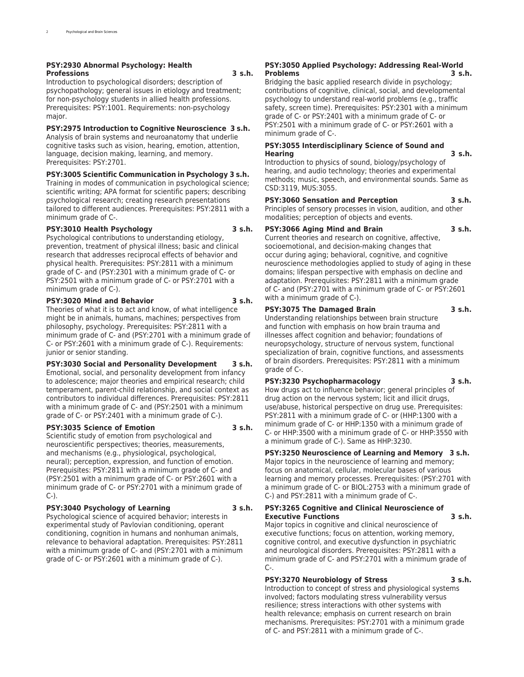#### **PSY:2930 Abnormal Psychology: Health Professions 3 s.h.**

Introduction to psychological disorders; description of psychopathology; general issues in etiology and treatment; for non-psychology students in allied health professions. Prerequisites: PSY:1001. Requirements: non-psychology major.

#### **PSY:2975 Introduction to Cognitive Neuroscience 3 s.h.**

Analysis of brain systems and neuroanatomy that underlie cognitive tasks such as vision, hearing, emotion, attention, language, decision making, learning, and memory. Prerequisites: PSY:2701.

#### **PSY:3005 Scientific Communication in Psychology 3 s.h.**

Training in modes of communication in psychological science; scientific writing; APA format for scientific papers; describing psychological research; creating research presentations tailored to different audiences. Prerequisites: PSY:2811 with a minimum grade of C-.

#### **PSY:3010 Health Psychology 3 s.h.**

Psychological contributions to understanding etiology, prevention, treatment of physical illness; basic and clinical research that addresses reciprocal effects of behavior and physical health. Prerequisites: PSY:2811 with a minimum grade of C- and (PSY:2301 with a minimum grade of C- or PSY:2501 with a minimum grade of C- or PSY:2701 with a minimum grade of C-).

#### **PSY:3020 Mind and Behavior 3 s.h.**

Theories of what it is to act and know, of what intelligence might be in animals, humans, machines; perspectives from philosophy, psychology. Prerequisites: PSY:2811 with a minimum grade of C- and (PSY:2701 with a minimum grade of C- or PSY:2601 with a minimum grade of C-). Requirements: junior or senior standing.

#### **PSY:3030 Social and Personality Development 3 s.h.**

Emotional, social, and personality development from infancy to adolescence; major theories and empirical research; child temperament, parent-child relationship, and social context as contributors to individual differences. Prerequisites: PSY:2811 with a minimum grade of C- and (PSY:2501 with a minimum grade of C- or PSY:2401 with a minimum grade of C-).

#### **PSY:3035 Science of Emotion 3 s.h.**

Scientific study of emotion from psychological and neuroscientific perspectives; theories, measurements, and mechanisms (e.g., physiological, psychological, neural); perception, expression, and function of emotion. Prerequisites: PSY:2811 with a minimum grade of C- and (PSY:2501 with a minimum grade of C- or PSY:2601 with a minimum grade of C- or PSY:2701 with a minimum grade of  $C-$ ).

#### **PSY:3040 Psychology of Learning 3 s.h.**

Psychological science of acquired behavior; interests in experimental study of Pavlovian conditioning, operant conditioning, cognition in humans and nonhuman animals, relevance to behavioral adaptation. Prerequisites: PSY:2811 with a minimum grade of C- and (PSY:2701 with a minimum grade of C- or PSY:2601 with a minimum grade of C-).

#### **PSY:3050 Applied Psychology: Addressing Real-World Problems 3 s.h.**

Bridging the basic applied research divide in psychology; contributions of cognitive, clinical, social, and developmental psychology to understand real-world problems (e.g., traffic safety, screen time). Prerequisites: PSY:2301 with a minimum grade of C- or PSY:2401 with a minimum grade of C- or PSY:2501 with a minimum grade of C- or PSY:2601 with a minimum grade of C-.

#### **PSY:3055 Interdisciplinary Science of Sound and Hearing 3 s.h.**

Introduction to physics of sound, biology/psychology of hearing, and audio technology; theories and experimental methods; music, speech, and environmental sounds. Same as CSD:3119, MUS:3055.

**PSY:3060 Sensation and Perception 3 s.h.**

Principles of sensory processes in vision, audition, and other modalities; perception of objects and events.

**PSY:3066 Aging Mind and Brain 3 s.h.** Current theories and research on cognitive, affective, socioemotional, and decision-making changes that occur during aging; behavioral, cognitive, and cognitive neuroscience methodologies applied to study of aging in these domains; lifespan perspective with emphasis on decline and adaptation. Prerequisites: PSY:2811 with a minimum grade of C- and (PSY:2701 with a minimum grade of C- or PSY:2601 with a minimum grade of C-).

#### **PSY:3075 The Damaged Brain 3 s.h.**

Understanding relationships between brain structure and function with emphasis on how brain trauma and illnesses affect cognition and behavior; foundations of neuropsychology, structure of nervous system, functional specialization of brain, cognitive functions, and assessments of brain disorders. Prerequisites: PSY:2811 with a minimum grade of C-.

#### **PSY:3230 Psychopharmacology 3 s.h.**

How drugs act to influence behavior; general principles of drug action on the nervous system; licit and illicit drugs, use/abuse, historical perspective on drug use. Prerequisites: PSY:2811 with a minimum grade of C- or (HHP:1300 with a minimum grade of C- or HHP:1350 with a minimum grade of C- or HHP:3500 with a minimum grade of C- or HHP:3550 with a minimum grade of C-). Same as HHP:3230.

### **PSY:3250 Neuroscience of Learning and Memory 3 s.h.**

Major topics in the neuroscience of learning and memory; focus on anatomical, cellular, molecular bases of various learning and memory processes. Prerequisites: (PSY:2701 with a minimum grade of C- or BIOL:2753 with a minimum grade of C-) and PSY:2811 with a minimum grade of C-.

#### **PSY:3265 Cognitive and Clinical Neuroscience of Executive Functions 3 s.h.**

Major topics in cognitive and clinical neuroscience of executive functions; focus on attention, working memory, cognitive control, and executive dysfunction in psychiatric and neurological disorders. Prerequisites: PSY:2811 with a minimum grade of C- and PSY:2701 with a minimum grade of C-.

### **PSY:3270 Neurobiology of Stress 3 s.h.**

Introduction to concept of stress and physiological systems involved; factors modulating stress vulnerability versus resilience; stress interactions with other systems with health relevance; emphasis on current research on brain mechanisms. Prerequisites: PSY:2701 with a minimum grade of C- and PSY:2811 with a minimum grade of C-.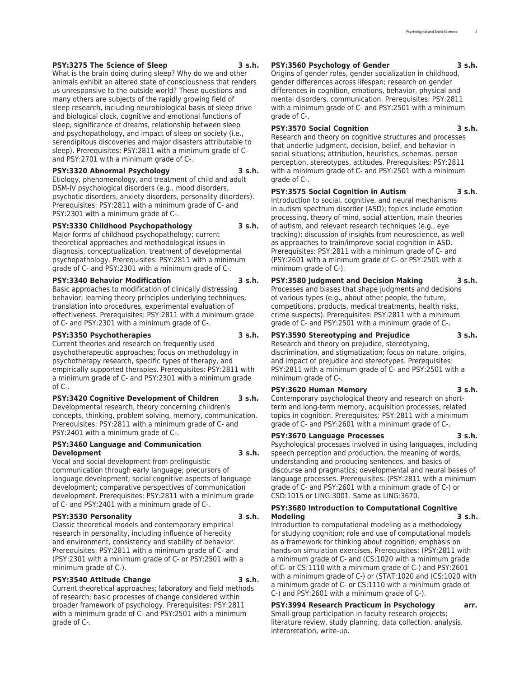#### **PSY:3275 The Science of Sleep 3 s.h.**

What is the brain doing during sleep? Why do we and other animals exhibit an altered state of consciousness that renders us unresponsive to the outside world? These questions and many others are subjects of the rapidly growing field of sleep research, including neurobiological basis of sleep drive and biological clock, cognitive and emotional functions of sleep, significance of dreams, relationship between sleep and psychopathology, and impact of sleep on society (i.e., serendipitous discoveries and major disasters attributable to sleep). Prerequisites: PSY:2811 with a minimum grade of Cand PSY:2701 with a minimum grade of C-.

#### **PSY:3320 Abnormal Psychology 3 s.h.**

Etiology, phenomenology, and treatment of child and adult DSM-IV psychological disorders (e.g., mood disorders, psychotic disorders, anxiety disorders, personality disorders). Prerequisites: PSY:2811 with a minimum grade of C- and PSY:2301 with a minimum grade of C-.

#### **PSY:3330 Childhood Psychopathology 3 s.h.**

Major forms of childhood psychopathology; current theoretical approaches and methodological issues in diagnosis, conceptualization, treatment of developmental psychopathology. Prerequisites: PSY:2811 with a minimum grade of C- and PSY:2301 with a minimum grade of C-.

#### **PSY:3340 Behavior Modification 3 s.h.**

Basic approaches to modification of clinically distressing behavior; learning theory principles underlying techniques, translation into procedures, experimental evaluation of effectiveness. Prerequisites: PSY:2811 with a minimum grade of C- and PSY:2301 with a minimum grade of C-.

#### **PSY:3350 Psychotherapies 3 s.h.**

Current theories and research on frequently used psychotherapeutic approaches; focus on methodology in psychotherapy research, specific types of therapy, and empirically supported therapies. Prerequisites: PSY:2811 with a minimum grade of C- and PSY:2301 with a minimum grade  $of C$ -.

#### **PSY:3420 Cognitive Development of Children 3 s.h.**

Developmental research, theory concerning children's concepts, thinking, problem solving, memory, communication. Prerequisites: PSY:2811 with a minimum grade of C- and PSY:2401 with a minimum grade of C-.

#### **PSY:3460 Language and Communication Development 3 s.h.**

Vocal and social development from prelinguistic communication through early language; precursors of language development; social cognitive aspects of language development; comparative perspectives of communication development. Prerequisites: PSY:2811 with a minimum grade of C- and PSY:2401 with a minimum grade of C-.

#### **PSY:3530 Personality 3 s.h.**

Classic theoretical models and contemporary empirical research in personality, including influence of heredity and environment, consistency and stability of behavior. Prerequisites: PSY:2811 with a minimum grade of C- and (PSY:2301 with a minimum grade of C- or PSY:2501 with a minimum grade of C-).

#### **PSY:3540 Attitude Change 3 s.h.**

Current theoretical approaches; laboratory and field methods of research; basic processes of change considered within broader framework of psychology. Prerequisites: PSY:2811 with a minimum grade of C- and PSY:2501 with a minimum grade of C-.

#### **PSY:3560 Psychology of Gender 3 s.h.**

Origins of gender roles, gender socialization in childhood, gender differences across lifespan; research on gender differences in cognition, emotions, behavior, physical and mental disorders, communication. Prerequisites: PSY:2811 with a minimum grade of C- and PSY:2501 with a minimum grade of C-.

#### **PSY:3570 Social Cognition 3 s.h.**

Research and theory on cognitive structures and processes that underlie judgment, decision, belief, and behavior in social situations; attribution, heuristics, schemas, person perception, stereotypes, attitudes. Prerequisites: PSY:2811 with a minimum grade of C- and PSY:2501 with a minimum grade of C-.

#### **PSY:3575 Social Cognition in Autism 3 s.h.**

Introduction to social, cognitive, and neural mechanisms in autism spectrum disorder (ASD); topics include emotion processing, theory of mind, social attention, main theories of autism, and relevant research techniques (e.g., eye tracking); discussion of insights from neuroscience, as well as approaches to train/improve social cognition in ASD. Prerequisites: PSY:2811 with a minimum grade of C- and (PSY:2601 with a minimum grade of C- or PSY:2501 with a minimum grade of C-).

#### **PSY:3580 Judgment and Decision Making 3 s.h.**

Processes and biases that shape judgments and decisions of various types (e.g., about other people, the future, competitions, products, medical treatments, health risks, crime suspects). Prerequisites: PSY:2811 with a minimum grade of C- and PSY:2501 with a minimum grade of C-.

#### **PSY:3590 Stereotyping and Prejudice 3 s.h.**

Research and theory on prejudice, stereotyping, discrimination, and stigmatization; focus on nature, origins, and impact of prejudice and stereotypes. Prerequisites: PSY:2811 with a minimum grade of C- and PSY:2501 with a minimum grade of C-.

#### **PSY:3620 Human Memory 3 s.h.**

Contemporary psychological theory and research on shortterm and long-term memory, acquisition processes, related topics in cognition. Prerequisites: PSY:2811 with a minimum grade of C- and PSY:2601 with a minimum grade of C-.

#### **PSY:3670 Language Processes 3 s.h.**

interpretation, write-up.

Psychological processes involved in using languages, including speech perception and production, the meaning of words, understanding and producing sentences, and basics of discourse and pragmatics; developmental and neural bases of language processes. Prerequisites: (PSY:2811 with a minimum grade of C- and PSY:2601 with a minimum grade of C-) or CSD:1015 or LING:3001. Same as LING:3670.

#### **PSY:3680 Introduction to Computational Cognitive Modeling 3 s.h.**

Introduction to computational modeling as a methodology for studying cognition; role and use of computational models as a framework for thinking about cognition; emphasis on hands-on simulation exercises. Prerequisites: (PSY:2811 with a minimum grade of C- and (CS:1020 with a minimum grade of C- or CS:1110 with a minimum grade of C-) and PSY:2601 with a minimum grade of C-) or (STAT:1020 and (CS:1020 with a minimum grade of C- or CS:1110 with a minimum grade of C-) and PSY:2601 with a minimum grade of C-).

#### **PSY:3994 Research Practicum in Psychology arr.** Small-group participation in faculty research projects; literature review, study planning, data collection, analysis,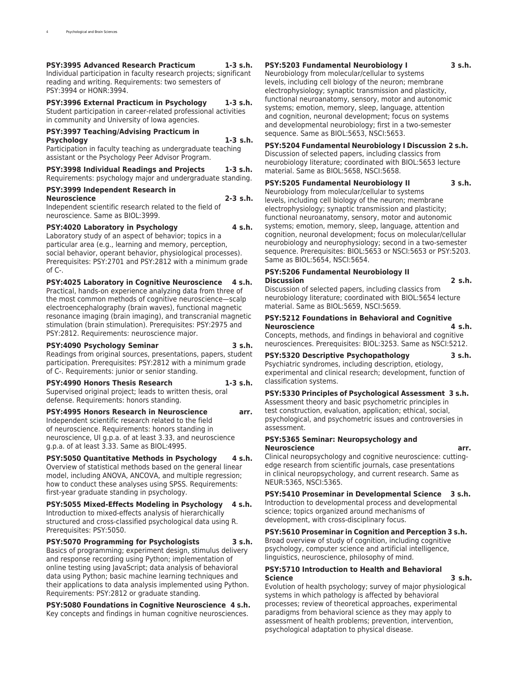#### **PSY:3995 Advanced Research Practicum 1-3 s.h.**

Individual participation in faculty research projects; significant reading and writing. Requirements: two semesters of PSY:3994 or HONR:3994.

#### **PSY:3996 External Practicum in Psychology 1-3 s.h.**

Student participation in career-related professional activities in community and University of Iowa agencies.

#### **PSY:3997 Teaching/Advising Practicum in Psychology 1-3 s.h.**

Participation in faculty teaching as undergraduate teaching assistant or the Psychology Peer Advisor Program.

#### **PSY:3998 Individual Readings and Projects 1-3 s.h.** Requirements: psychology major and undergraduate standing.

## **PSY:3999 Independent Research in**

## **Neuroscience 2-3 s.h.**

Independent scientific research related to the field of neuroscience. Same as BIOL:3999.

#### **PSY:4020 Laboratory in Psychology 4 s.h.**

Laboratory study of an aspect of behavior; topics in a particular area (e.g., learning and memory, perception, social behavior, operant behavior, physiological processes). Prerequisites: PSY:2701 and PSY:2812 with a minimum grade of C-.

#### **PSY:4025 Laboratory in Cognitive Neuroscience 4 s.h.**

Practical, hands-on experience analyzing data from three of the most common methods of cognitive neuroscience—scalp electroencephalography (brain waves), functional magnetic resonance imaging (brain imaging), and transcranial magnetic stimulation (brain stimulation). Prerequisites: PSY:2975 and PSY:2812. Requirements: neuroscience major.

#### **PSY:4090 Psychology Seminar 3 s.h.**

Readings from original sources, presentations, papers, student participation. Prerequisites: PSY:2812 with a minimum grade of C-. Requirements: junior or senior standing.

#### **PSY:4990 Honors Thesis Research 1-3 s.h.** Supervised original project; leads to written thesis, oral defense. Requirements: honors standing.

**PSY:4995 Honors Research in Neuroscience arr.** Independent scientific research related to the field of neuroscience. Requirements: honors standing in neuroscience, UI g.p.a. of at least 3.33, and neuroscience g.p.a. of at least 3.33. Same as BIOL:4995.

#### **PSY:5050 Quantitative Methods in Psychology 4 s.h.** Overview of statistical methods based on the general linear model, including ANOVA, ANCOVA, and multiple regression; how to conduct these analyses using SPSS. Requirements: first-year graduate standing in psychology.

**PSY:5055 Mixed-Effects Modeling in Psychology 4 s.h.** Introduction to mixed-effects analysis of hierarchically structured and cross-classified psychological data using R. Prerequisites: PSY:5050.

#### **PSY:5070 Programming for Psychologists 3 s.h.** Basics of programming; experiment design, stimulus delivery and response recording using Python; implementation of online testing using JavaScript; data analysis of behavioral data using Python; basic machine learning techniques and their applications to data analysis implemented using Python. Requirements: PSY:2812 or graduate standing.

**PSY:5080 Foundations in Cognitive Neuroscience 4 s.h.** Key concepts and findings in human cognitive neurosciences.

#### **PSY:5203 Fundamental Neurobiology I 3 s.h.**

Neurobiology from molecular/cellular to systems levels, including cell biology of the neuron; membrane electrophysiology; synaptic transmission and plasticity, functional neuroanatomy, sensory, motor and autonomic systems; emotion, memory, sleep, language, attention and cognition, neuronal development; focus on systems and developmental neurobiology; first in a two-semester sequence. Same as BIOL:5653, NSCI:5653.

#### **PSY:5204 Fundamental Neurobiology I Discussion 2 s.h.**

Discussion of selected papers, including classics from neurobiology literature; coordinated with BIOL:5653 lecture material. Same as BIOL:5658, NSCI:5658.

#### **PSY:5205 Fundamental Neurobiology II 3 s.h.**

Neurobiology from molecular/cellular to systems levels, including cell biology of the neuron; membrane electrophysiology; synaptic transmission and plasticity; functional neuroanatomy, sensory, motor and autonomic systems; emotion, memory, sleep, language, attention and cognition, neuronal development; focus on molecular/cellular neurobiology and neurophysiology; second in a two-semester sequence. Prerequisites: BIOL:5653 or NSCI:5653 or PSY:5203. Same as BIOL:5654, NSCI:5654.

#### **PSY:5206 Fundamental Neurobiology II Discussion 2 s.h.**

Discussion of selected papers, including classics from neurobiology literature; coordinated with BIOL:5654 lecture material. Same as BIOL:5659, NSCI:5659.

#### **PSY:5212 Foundations in Behavioral and Cognitive Neuroscience 4 s.h.**

Concepts, methods, and findings in behavioral and cognitive neurosciences. Prerequisites: BIOL:3253. Same as NSCI:5212.

#### **PSY:5320 Descriptive Psychopathology 3 s.h.**

Psychiatric syndromes, including description, etiology, experimental and clinical research; development, function of classification systems.

**PSY:5330 Principles of Psychological Assessment 3 s.h.** Assessment theory and basic psychometric principles in test construction, evaluation, application; ethical, social, psychological, and psychometric issues and controversies in assessment.

#### **PSY:5365 Seminar: Neuropsychology and Neuroscience arr.**

Clinical neuropsychology and cognitive neuroscience: cuttingedge research from scientific journals, case presentations in clinical neuropsychology, and current research. Same as NEUR:5365, NSCI:5365.

**PSY:5410 Proseminar in Developmental Science 3 s.h.** Introduction to developmental process and developmental science; topics organized around mechanisms of development, with cross-disciplinary focus.

**PSY:5610 Proseminar in Cognition and Perception 3 s.h.** Broad overview of study of cognition, including cognitive psychology, computer science and artificial intelligence, linguistics, neuroscience, philosophy of mind.

#### **PSY:5710 Introduction to Health and Behavioral Science 3 s.h.**

Evolution of health psychology; survey of major physiological systems in which pathology is affected by behavioral processes; review of theoretical approaches, experimental paradigms from behavioral science as they may apply to assessment of health problems; prevention, intervention, psychological adaptation to physical disease.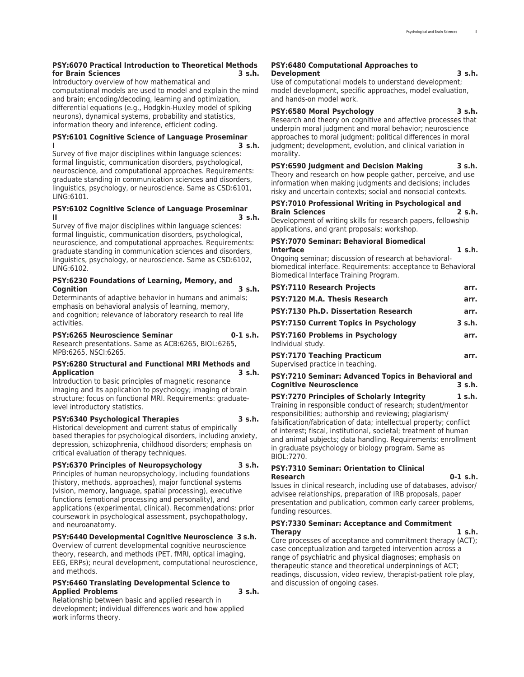#### **PSY:6070 Practical Introduction to Theoretical Methods for Brain Sciences 3 s.h.**

Introductory overview of how mathematical and computational models are used to model and explain the mind and brain; encoding/decoding, learning and optimization, differential equations (e.g., Hodgkin-Huxley model of spiking neurons), dynamical systems, probability and statistics, information theory and inference, efficient coding.

#### **PSY:6101 Cognitive Science of Language Proseminar I 3 s.h.**

Survey of five major disciplines within language sciences: formal linguistic, communication disorders, psychological, neuroscience, and computational approaches. Requirements: graduate standing in communication sciences and disorders, linguistics, psychology, or neuroscience. Same as CSD:6101, LING:6101.

#### **PSY:6102 Cognitive Science of Language Proseminar II 3 s.h.**

Survey of five major disciplines within language sciences: formal linguistic, communication disorders, psychological, neuroscience, and computational approaches. Requirements: graduate standing in communication sciences and disorders, linguistics, psychology, or neuroscience. Same as CSD:6102, LING:6102.

#### **PSY:6230 Foundations of Learning, Memory, and Cognition 3 s.h.**

Determinants of adaptive behavior in humans and animals; emphasis on behavioral analysis of learning, memory, and cognition; relevance of laboratory research to real life activities.

#### **PSY:6265 Neuroscience Seminar 0-1 s.h.**

Research presentations. Same as ACB:6265, BIOL:6265, MPB:6265, NSCI:6265.

#### **PSY:6280 Structural and Functional MRI Methods and Application 3 s.h.**

Introduction to basic principles of magnetic resonance imaging and its application to psychology; imaging of brain structure; focus on functional MRI. Requirements: graduatelevel introductory statistics.

#### **PSY:6340 Psychological Therapies 3 s.h.**

Historical development and current status of empirically based therapies for psychological disorders, including anxiety, depression, schizophrenia, childhood disorders; emphasis on critical evaluation of therapy techniques.

#### **PSY:6370 Principles of Neuropsychology 3 s.h.** Principles of human neuropsychology, including foundations (history, methods, approaches), major functional systems (vision, memory, language, spatial processing), executive functions (emotional processing and personality), and applications (experimental, clinical). Recommendations: prior coursework in psychological assessment, psychopathology,

#### **PSY:6440 Developmental Cognitive Neuroscience 3 s.h.**

Overview of current developmental cognitive neuroscience theory, research, and methods (PET, fMRI, optical imaging, EEG, ERPs); neural development, computational neuroscience, and methods.

#### **PSY:6460 Translating Developmental Science to Applied Problems 3 s.h.**

and neuroanatomy.

Relationship between basic and applied research in development; individual differences work and how applied work informs theory.

#### **PSY:6480 Computational Approaches to Development 3 s.h.**

Use of computational models to understand development; model development, specific approaches, model evaluation, and hands-on model work.

#### **PSY:6580 Moral Psychology 3 s.h.**

Research and theory on cognitive and affective processes that underpin moral judgment and moral behavior; neuroscience approaches to moral judgment; political differences in moral judgment; development, evolution, and clinical variation in morality.

**PSY:6590 Judgment and Decision Making 3 s.h.** Theory and research on how people gather, perceive, and use information when making judgments and decisions; includes risky and uncertain contexts; social and nonsocial contexts.

#### **PSY:7010 Professional Writing in Psychological and Brain Sciences 2 s.h.**

Development of writing skills for research papers, fellowship applications, and grant proposals; workshop.

#### **PSY:7070 Seminar: Behavioral Biomedical Interface 1 s.h.**

Ongoing seminar; discussion of research at behavioralbiomedical interface. Requirements: acceptance to Behavioral Biomedical Interface Training Program.

| <b>PSY:7170 Teaching Practicum</b>                                    | arr.         |
|-----------------------------------------------------------------------|--------------|
| PSY:7160 Problems in Psychology<br>Individual study.                  | arr.         |
| <b>PSY:7150 Current Topics in Psychology</b>                          | 3 s.h.       |
| PSY:7120 M.A. Thesis Research<br>PSY:7130 Ph.D. Dissertation Research | arr.<br>arr. |
|                                                                       |              |

Supervised practice in teaching.

#### **PSY:7210 Seminar: Advanced Topics in Behavioral and Cognitive Neuroscience**

**PSY:7270 Principles of Scholarly Integrity 1 s.h.** Training in responsible conduct of research; student/mentor responsibilities; authorship and reviewing; plagiarism/ falsification/fabrication of data; intellectual property; conflict of interest; fiscal, institutional, societal; treatment of human and animal subjects; data handling. Requirements: enrollment in graduate psychology or biology program. Same as BIOL:7270.

#### **PSY:7310 Seminar: Orientation to Clinical Research 0-1 s.h.**

Issues in clinical research, including use of databases, advisor/ advisee relationships, preparation of IRB proposals, paper presentation and publication, common early career problems, funding resources.

#### **PSY:7330 Seminar: Acceptance and Commitment Therapy 1 s.h.**

Core processes of acceptance and commitment therapy (ACT); case conceptualization and targeted intervention across a range of psychiatric and physical diagnoses; emphasis on therapeutic stance and theoretical underpinnings of ACT; readings, discussion, video review, therapist-patient role play, and discussion of ongoing cases.